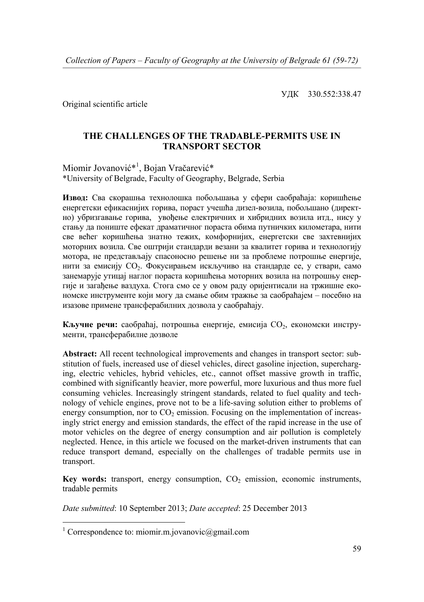УДК 330.552:338.47

Original scientific article

## **THE CHALLENGES OF THE TRADABLE-PERMITS USE IN TRANSPORT SECTOR**

Miomir Jovanović<sup>\*1</sup>, Bojan Vračarević\* \*University of Belgrade, Faculty of Geography, Belgrade, Serbia

**Извод:** Сва скорашња технолошка побољшања у сфери саобраћаја: коришћење енергетски ефикаснијих горива, пораст учешћа дизел-возила, побољшано (директно) убризгавање горива, увођење електричних и хибридних возила итд., нису у стању да пониште ефекат драматичног пораста обима путничких километара, нити све већег коришћења знатно тежих, комфорнијих, енергетски све захтевнијих моторних возила. Све оштрији стандарди везани за квалитет горива и технологију мотора, не представљају спасоносно решење ни за проблеме потрошње енергије, нити за емисију СО<sub>2</sub>. Фокусирањем искључиво на стандарде се, у ствари, само занемарује утицај наглог пораста коришћења моторних возила на потрошњу енергије и загађење ваздуха. Стога смо се у овом раду оријентисали на тржишне економске инструменте који могу да смање обим тражње за саобраћајем – посебно на изазове примене трансферабилних дозвола у саобраћају.

**Кључне речи:** саобраћај, потрошња енергије, емисија CО2, економски инструменти, трансферабилне дозволе

**Abstract:** All recent technological improvements and changes in transport sector: substitution of fuels, increased use of diesel vehicles, direct gasoline injection, supercharging, electric vehicles, hybrid vehicles, etc., cannot offset massive growth in traffic, combined with significantly heavier, more powerful, more luxurious and thus more fuel consuming vehicles. Increasingly stringent standards, related to fuel quality and technology of vehicle engines, prove not to be a life-saving solution either to problems of energy consumption, nor to  $CO<sub>2</sub>$  emission. Focusing on the implementation of increasingly strict energy and emission standards, the effect of the rapid increase in the use of motor vehicles on the degree of energy consumption and air pollution is completely neglected. Hence, in this article we focused on the market-driven instruments that can reduce transport demand, especially on the challenges of tradable permits use in transport.

Key words: transport, energy consumption, CO<sub>2</sub> emission, economic instruments, tradable permits

*Date submitted*: 10 September 2013; *Date accepted*: 25 December 2013

 1 Correspondence to: miomir.m.jovanovic@gmail.com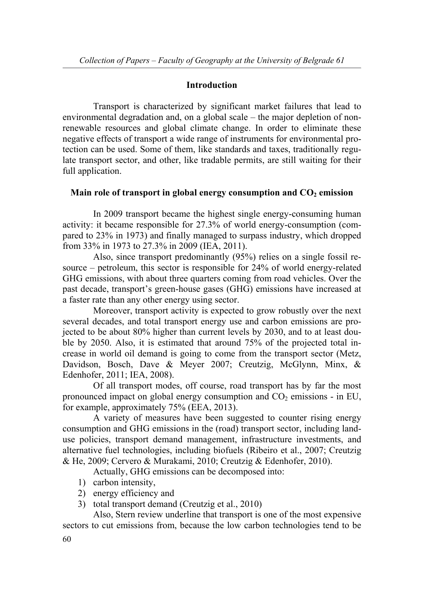## **Introduction**

 Transport is characterized by significant market failures that lead to environmental degradation and, on a global scale – the major depletion of nonrenewable resources and global climate change. In order to eliminate these negative effects of transport a wide range of instruments for environmental protection can be used. Some of them, like standards and taxes, traditionally regulate transport sector, and other, like tradable permits, are still waiting for their full application.

# Main role of transport in global energy consumption and  $CO<sub>2</sub>$  emission

 In 2009 transport became the highest single energy-consuming human activity: it became responsible for 27.3% of world energy-consumption (compared to 23% in 1973) and finally managed to surpass industry, which dropped from 33% in 1973 to 27.3% in 2009 (IEA, 2011).

 Also, since transport predominantly (95%) relies on a single fossil resource – petroleum, this sector is responsible for 24% of world energy-related GHG emissions, with about three quarters coming from road vehicles. Over the past decade, transport's green-house gases (GHG) emissions have increased at a faster rate than any other energy using sector.

 Moreover, transport activity is expected to grow robustly over the next several decades, and total transport energy use and carbon emissions are projected to be about 80% higher than current levels by 2030, and to at least double by 2050. Also, it is estimated that around 75% of the projected total increase in world oil demand is going to come from the transport sector (Metz, Davidson, Bosch, Dave & Meyer 2007; Creutzig, McGlynn, Minx, & Edenhofer, 2011; IEA, 2008).

 Of all transport modes, off course, road transport has by far the most pronounced impact on global energy consumption and  $CO<sub>2</sub>$  emissions - in EU, for example, approximately 75% (EEA, 2013).

 A variety of measures have been suggested to counter rising energy consumption and GHG emissions in the (road) transport sector, including landuse policies, transport demand management, infrastructure investments, and alternative fuel technologies, including biofuels (Ribeiro et al., 2007; Creutzig & He, 2009; Cervero & Murakami, 2010; Creutzig & Edenhofer, 2010).

Actually, GHG emissions can be decomposed into:

- 1) carbon intensity,
- 2) energy efficiency and
- 3) total transport demand (Creutzig et al., 2010)

 Also, Stern review underline that transport is one of the most expensive sectors to cut emissions from, because the low carbon technologies tend to be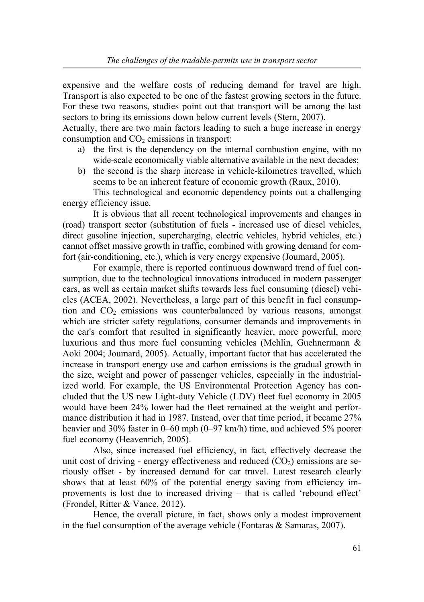expensive and the welfare costs of reducing demand for travel are high. Transport is also expected to be one of the fastest growing sectors in the future. For these two reasons, studies point out that transport will be among the last sectors to bring its emissions down below current levels (Stern, 2007).

Actually, there are two main factors leading to such a huge increase in energy consumption and  $CO<sub>2</sub>$  emissions in transport:

- a) the first is the dependency on the internal combustion engine, with no wide-scale economically viable alternative available in the next decades;
- b) the second is the sharp increase in vehicle-kilometres travelled, which seems to be an inherent feature of economic growth (Raux, 2010).

 This technological and economic dependency points out a challenging energy efficiency issue.

 It is obvious that all recent technological improvements and changes in (road) transport sector (substitution of fuels - increased use of diesel vehicles, direct gasoline injection, supercharging, electric vehicles, hybrid vehicles, etc.) cannot offset massive growth in traffic, combined with growing demand for comfort (air-conditioning, etc.), which is very energy expensive (Joumard, 2005).

 For example, there is reported continuous downward trend of fuel consumption, due to the technological innovations introduced in modern passenger cars, as well as certain market shifts towards less fuel consuming (diesel) vehicles (ACEA, 2002). Nevertheless, a large part of this benefit in fuel consumption and  $CO<sub>2</sub>$  emissions was counterbalanced by various reasons, amongst which are stricter safety regulations, consumer demands and improvements in the car's comfort that resulted in significantly heavier, more powerful, more luxurious and thus more fuel consuming vehicles (Mehlin, Guehnermann & Aoki 2004; Joumard, 2005). Actually, important factor that has accelerated the increase in transport energy use and carbon emissions is the gradual growth in the size, weight and power of passenger vehicles, especially in the industrialized world. For example, the US Environmental Protection Agency has concluded that the US new Light-duty Vehicle (LDV) fleet fuel economy in 2005 would have been 24% lower had the fleet remained at the weight and performance distribution it had in 1987. Instead, over that time period, it became 27% heavier and 30% faster in 0–60 mph (0–97 km/h) time, and achieved 5% poorer fuel economy (Heavenrich, 2005).

 Also, since increased fuel efficiency, in fact, effectively decrease the unit cost of driving - energy effectiveness and reduced  $(CO<sub>2</sub>)$  emissions are seriously offset - by increased demand for car travel. Latest research clearly shows that at least 60% of the potential energy saving from efficiency improvements is lost due to increased driving – that is called 'rebound effect' (Frondel, Ritter & Vance, 2012).

 Hence, the overall picture, in fact, shows only a modest improvement in the fuel consumption of the average vehicle (Fontaras & Samaras, 2007).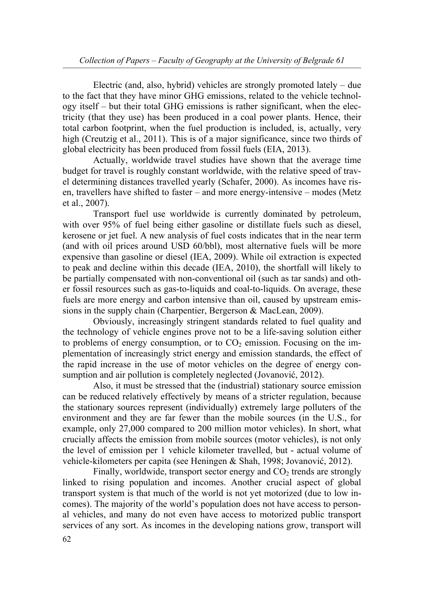Electric (and, also, hybrid) vehicles are strongly promoted lately – due to the fact that they have minor GHG emissions, related to the vehicle technology itself – but their total GHG emissions is rather significant, when the electricity (that they use) has been produced in a coal power plants. Hence, their total carbon footprint, when the fuel production is included, is, actually, very high (Creutzig et al., 2011). This is of a major significance, since two thirds of global electricity has been produced from fossil fuels (EIA, 2013).

 Actually, worldwide travel studies have shown that the average time budget for travel is roughly constant worldwide, with the relative speed of travel determining distances travelled yearly (Schafer, 2000). As incomes have risen, travellers have shifted to faster – and more energy-intensive – modes (Metz et al., 2007).

Тransport fuel use worldwide is currently dominated by petroleum, with over 95% of fuel being either gasoline or distillate fuels such as diesel, kerosene or jet fuel. A new analysis of fuel costs indicates that in the near term (and with oil prices around USD 60/bbl), most alternative fuels will be more expensive than gasoline or diesel (IEA, 2009). While oil extraction is expected to peak and decline within this decade (IEA, 2010), the shortfall will likely to be partially compensated with non-conventional oil (such as tar sands) and other fossil resources such as gas-to-liquids and coal-to-liquids. On average, these fuels are more energy and carbon intensive than oil, caused by upstream emissions in the supply chain (Charpentier, Bergerson & MacLean, 2009).

 Obviously, increasingly stringent standards related to fuel quality and the technology of vehicle engines prove not to be a life-saving solution either to problems of energy consumption, or to  $CO<sub>2</sub>$  emission. Focusing on the implementation of increasingly strict energy and emission standards, the effect of the rapid increase in the use of motor vehicles on the degree of energy consumption and air pollution is completely neglected (Jovanović, 2012).

 Also, it must be stressed that the (industrial) stationary source emission can be reduced relatively effectively by means of a stricter regulation, because the stationary sources represent (individually) extremely large polluters of the environment and they are far fewer than the mobile sources (in the U.S., for example, only 27,000 compared to 200 million motor vehicles). In short, what crucially affects the emission from mobile sources (motor vehicles), is not only the level of emission per 1 vehicle kilometer travelled, but - actual volume of vehicle-kilometers per capita (see Heningen & Shah, 1998; Jovanović, 2012).

Finally, worldwide, transport sector energy and  $CO<sub>2</sub>$  trends are strongly linked to rising population and incomes. Another crucial aspect of global transport system is that much of the world is not yet motorized (due to low incomes). The majority of the world's population does not have access to personal vehicles, and many do not even have access to motorized public transport services of any sort. As incomes in the developing nations grow, transport will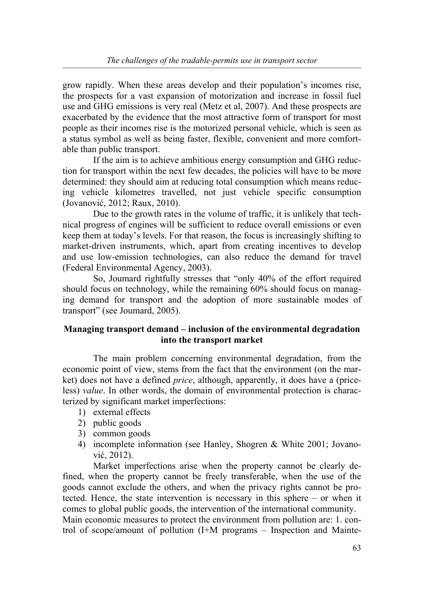grow rapidly. When these areas develop and their population's incomes rise, the prospects for a vast expansion of motorization and increase in fossil fuel use and GHG emissions is very real (Metz et al, 2007). And these prospects are exacerbated by the evidence that the most attractive form of transport for most people as their incomes rise is the motorized personal vehicle, which is seen as a status symbol as well as being faster, flexible, convenient and more comfortable than public transport.

 If the aim is to achieve ambitious energy consumption and GHG reduction for transport within the next few decades, the policies will have to be more determined: they should aim at reducing total consumption which means reducing vehicle kilometres travelled, not just vehicle specific consumption (Jovanović, 2012; Raux, 2010).

 Due to the growth rates in the volume of traffic, it is unlikely that technical progress of engines will be sufficient to reduce overall emissions or even keep them at today's levels. For that reason, the focus is increasingly shifting to market-driven instruments, which, apart from creating incentives to develop and use low-emission technologies, can also reduce the demand for travel (Federal Environmental Agency, 2003).

 So, Joumard rightfully stresses that "only 40% of the effort required should focus on technology, while the remaining 60% should focus on managing demand for transport and the adoption of more sustainable modes of transport" (see Joumard, 2005).

## **Managing transport demand – inclusion of the environmental degradation into the transport market**

 The main problem concerning environmental degradation, from the economic point of view, stems from the fact that the environment (on the market) does not have a defined *price*, although, apparently, it does have a (priceless) *value*. In other words, the domain of environmental protection is characterized by significant market imperfections:

- 1) external effects
- 2) public goods
- 3) common goods
- 4) incomplete information (see Hanley, Shogren & White 2001; Jovanović, 2012).

 Market imperfections arise when the property cannot be clearly defined, when the property cannot be freely transferable, when the use of the goods cannot exclude the others, and when the privacy rights cannot be protected. Hence, the state intervention is necessary in this sphere – or when it comes to global public goods, the intervention of the international community. Main economic measures to protect the environment from pollution are: 1. con-

trol of scope/amount of pollution (I+M programs – Inspection and Mainte-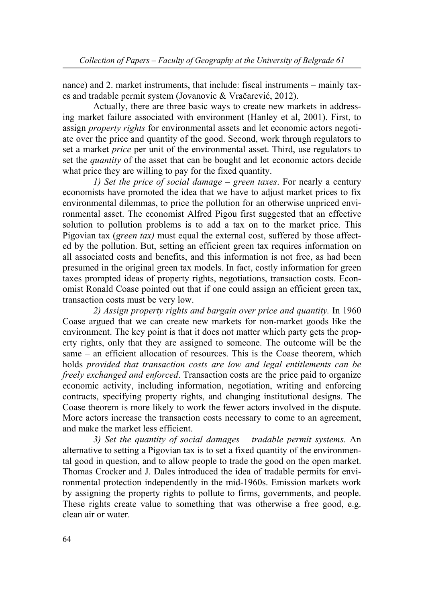nance) and 2. market instruments, that include: fiscal instruments – mainly taxes and tradable permit system (Jovanovic & Vračarević, 2012).

 Actually, there are three basic ways to create new markets in addressing market failure associated with environment (Hanley et al, 2001). First, to assign *property rights* for environmental assets and let economic actors negotiate over the price and quantity of the good. Second, work through regulators to set a market *price* per unit of the environmental asset. Third, use regulators to set the *quantity* of the asset that can be bought and let economic actors decide what price they are willing to pay for the fixed quantity.

 *1) Set the price of social damage – green taxes*. For nearly a century economists have promoted the idea that we have to adjust market prices to fix environmental dilemmas, to price the pollution for an otherwise unpriced environmental asset. The economist Alfred Pigou first suggested that an effective solution to pollution problems is to add a tax on to the market price. This Pigovian tax (*green tax)* must equal the external cost, suffered by those affected by the pollution. But, setting an efficient green tax requires information on all associated costs and benefits, and this information is not free, as had been presumed in the original green tax models. In fact, costly information for green taxes prompted ideas of property rights, negotiations, transaction costs. Economist Ronald Coase pointed out that if one could assign an efficient green tax, transaction costs must be very low.

 *2) Assign property rights and bargain over price and quantity.* In 1960 Coase argued that we can create new markets for non-market goods like the environment. The key point is that it does not matter which party gets the property rights, only that they are assigned to someone. The outcome will be the same – an efficient allocation of resources. This is the Coase theorem, which holds *provided that transaction costs are low and legal entitlements can be freely exchanged and enforced*. Transaction costs are the price paid to organize economic activity, including information, negotiation, writing and enforcing contracts, specifying property rights, and changing institutional designs. The Coase theorem is more likely to work the fewer actors involved in the dispute. More actors increase the transaction costs necessary to come to an agreement, and make the market less efficient.

 *3) Set the quantity of social damages – tradable permit systems.* An alternative to setting a Pigovian tax is to set a fixed quantity of the environmental good in question, and to allow people to trade the good on the open market. Thomas Crocker and J. Dales introduced the idea of tradable permits for environmental protection independently in the mid-1960s. Emission markets work by assigning the property rights to pollute to firms, governments, and people. These rights create value to something that was otherwise a free good, e.g. clean air or water.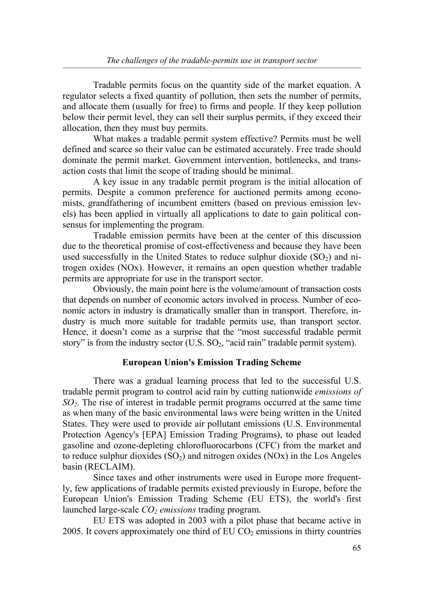Tradable permits focus on the quantity side of the market equation. A regulator selects a fixed quantity of pollution, then sets the number of permits, and allocate them (usually for free) to firms and people. If they keep pollution below their permit level, they can sell their surplus permits, if they exceed their allocation, then they must buy permits.

 What makes a tradable permit system effective? Permits must be well defined and scarce so their value can be estimated accurately. Free trade should dominate the permit market. Government intervention, bottlenecks, and transaction costs that limit the scope of trading should be minimal.

 A key issue in any tradable permit program is the initial allocation of permits. Despite a common preference for auctioned permits among economists, grandfathering of incumbent emitters (based on previous emission levels) has been applied in virtually all applications to date to gain political consensus for implementing the program.

 Tradable emission permits have been at the center of this discussion due to the theoretical promise of cost-effectiveness and because they have been used successfully in the United States to reduce sulphur dioxide  $(SO<sub>2</sub>)$  and nitrogen oxides (NOx). However, it remains an open question whether tradable permits are appropriate for use in the transport sector.

 Obviously, the main point here is the volume/amount of transaction costs that depends on number of economic actors involved in process. Number of economic actors in industry is dramatically smaller than in transport. Therefore, industry is much more suitable for tradable permits use, than transport sector. Hence, it doesn't come as a surprise that the "most successful tradable permit story" is from the industry sector  $(U.S. SO<sub>2</sub>, "acid rain" tradable permit system).$ 

### **European Union's Emission Trading Scheme**

 There was a gradual learning process that led to the successful U.S. tradable permit program to control acid rain by cutting nationwide *emissions of SO2*. The rise of interest in tradable permit programs occurred at the same time as when many of the basic environmental laws were being written in the United States. They were used to provide air pollutant emissions (U.S. Environmental Protection Agency's [EPA] Emission Trading Programs), to phase out leaded gasoline and ozone-depleting chlorofluorocarbons (CFC) from the market and to reduce sulphur dioxides  $(SO<sub>2</sub>)$  and nitrogen oxides  $(NO<sub>X</sub>)$  in the Los Angeles basin (RECLAIM).

 Since taxes and other instruments were used in Europe more frequently, few applications of tradable permits existed previously in Europe, before the European Union's Emission Trading Scheme (EU ETS), the world's first launched large-scale *CO<sub>2</sub> emissions* trading program.

 EU ETS was adopted in 2003 with a pilot phase that became active in 2005. It covers approximately one third of  $EU\ CO_2$  emissions in thirty countries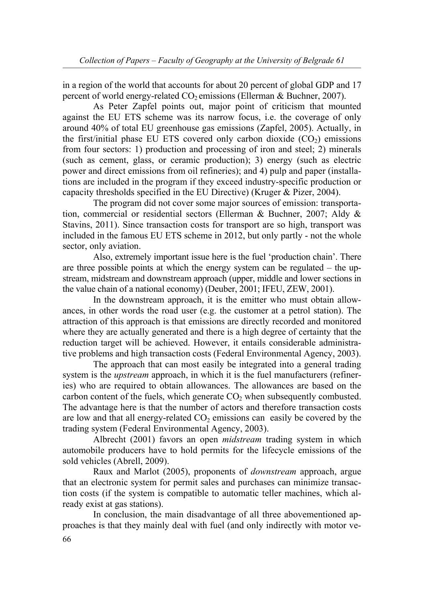in a region of the world that accounts for about 20 percent of global GDP and 17 percent of world energy-related  $CO<sub>2</sub>$  emissions (Ellerman & Buchner, 2007).

 As Peter Zapfel points out, major point of criticism that mounted against the EU ETS scheme was its narrow focus, i.e. the coverage of only around 40% of total EU greenhouse gas emissions (Zapfel, 2005). Actually, in the first/initial phase EU ETS covered only carbon dioxide  $(CO<sub>2</sub>)$  emissions from four sectors: 1) production and processing of iron and steel; 2) minerals (such as cement, glass, or ceramic production); 3) energy (such as electric power and direct emissions from oil refineries); and 4) pulp and paper (installations are included in the program if they exceed industry-specific production or capacity thresholds specified in the EU Directive) (Kruger & Pizer, 2004).

 The program did not cover some major sources of emission: transportation, commercial or residential sectors (Ellerman & Buchner, 2007; Aldy & Stavins, 2011). Since transaction costs for transport are so high, transport was included in the famous EU ETS scheme in 2012, but only partly - not the whole sector, only aviation.

 Also, extremely important issue here is the fuel 'production chain'. There are three possible points at which the energy system can be regulated – the upstream, midstream and downstream approach (upper, middle and lower sections in the value chain of a national economy) (Deuber, 2001; IFEU, ZEW, 2001).

 In the downstream approach, it is the emitter who must obtain allowances, in other words the road user (e.g. the customer at a petrol station). The attraction of this approach is that emissions are directly recorded and monitored where they are actually generated and there is a high degree of certainty that the reduction target will be achieved. However, it entails considerable administrative problems and high transaction costs (Federal Environmental Agency, 2003).

 The approach that can most easily be integrated into a general trading system is the *upstream* approach, in which it is the fuel manufacturers (refineries) who are required to obtain allowances. The allowances are based on the carbon content of the fuels, which generate  $CO<sub>2</sub>$  when subsequently combusted. The advantage here is that the number of actors and therefore transaction costs are low and that all energy-related  $CO<sub>2</sub>$  emissions can easily be covered by the trading system (Federal Environmental Agency, 2003).

 Albrecht (2001) favors an open *midstream* trading system in which automobile producers have to hold permits for the lifecycle emissions of the sold vehicles (Abrell, 2009).

 Raux and Marlot (2005), proponents of *downstream* approach, argue that an electronic system for permit sales and purchases can minimize transaction costs (if the system is compatible to automatic teller machines, which already exist at gas stations).

66 In conclusion, the main disadvantage of all three abovementioned approaches is that they mainly deal with fuel (and only indirectly with motor ve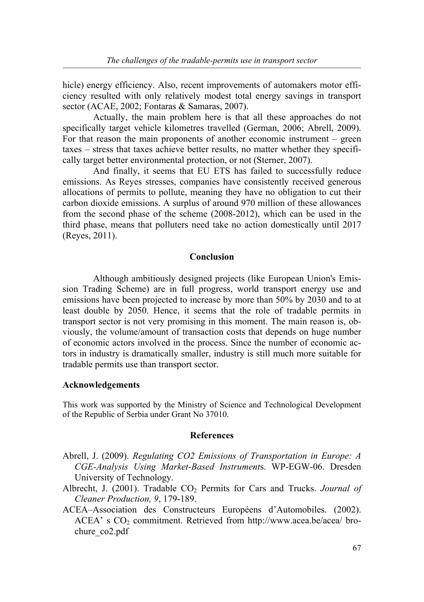hicle) energy efficiency. Also, recent improvements of automakers motor efficiency resulted with only relatively modest total energy savings in transport sector (ACAE, 2002; Fontaras & Samaras, 2007).

 Actually, the main problem here is that all these approaches do not specifically target vehicle kilometres travelled (German, 2006; Abrell, 2009). For that reason the main proponents of another economic instrument – green taxes – stress that taxes achieve better results, no matter whether they specifically target better environmental protection, or not (Sterner, 2007).

 And finally, it seems that EU ETS has failed to successfully reduce emissions. As Reyes stresses, companies have consistently received generous allocations of permits to pollute, meaning they have no obligation to cut their carbon dioxide emissions. A surplus of around 970 million of these allowances from the second phase of the scheme (2008-2012), which can be used in the third phase, means that polluters need take no action domestically until 2017 (Reyes, 2011).

### **Conclusion**

 Although ambitiously designed projects (like European Union's Emission Trading Scheme) are in full progress, world transport energy use and emissions have been projected to increase by more than 50% by 2030 and to at least double by 2050. Hence, it seems that the role of tradable permits in transport sector is not very promising in this moment. The main reason is, obviously, the volume/amount of transaction costs that depends on huge number of economic actors involved in the process. Since the number of economic actors in industry is dramatically smaller, industry is still much more suitable for tradable permits use than transport sector.

#### **Acknowledgements**

This work was supported by the Ministry of Science and Technological Development of the Republic of Serbia under Grant No 37010.

#### **References**

- Abrell, J. (2009). *Regulating CO2 Emissions of Transportation in Europe: A CGE-Analysis Using Market-Based Instrument*s. WP-EGW-06. Dresden University of Technology.
- Albrecht, J. (2001). Tradable CO<sub>2</sub> Permits for Cars and Trucks. *Journal of Cleaner Production, 9*, 179-189.
- ACEA–Association des Constructeurs Européens d'Automobiles. (2002). ACEA' s CO<sub>2</sub> commitment. Retrieved from http://www.acea.be/acea/ brochure co2.pdf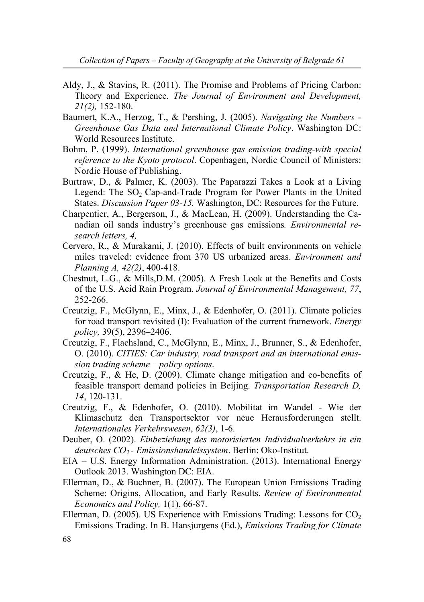- Aldy, J., & Stavins, R. (2011). The Promise and Problems of Pricing Carbon: Theory and Experience. *The Journal of Environment and Development, 21(2),* 152-180.
- Baumert, K.A., Herzog, T., & Pershing, J. (2005). *Navigating the Numbers Greenhouse Gas Data and International Climate Policy*. Washington DC: World Resources Institute.
- Bohm, P. (1999). *International greenhouse gas emission trading-with special reference to the Kyoto protocol*. Copenhagen, Nordic Council of Ministers: Nordic House of Publishing.
- Burtraw, D., & Palmer, K. (2003). The Paparazzi Takes a Look at a Living Legend: The  $SO<sub>2</sub> Cap-and-Trade Program for Power plants in the United$ States. *Discussion Paper 03-15.* Washington, DC: Resources for the Future.
- Charpentier, A., Bergerson, J., & MacLean, H. (2009). Understanding the Canadian oil sands industry's greenhouse gas emissions*. Environmental research letters, 4,*
- Cervero, R., & Murakami, J. (2010). Effects of built environments on vehicle miles traveled: evidence from 370 US urbanized areas. *Environment and Planning A, 42(2)*, 400-418.
- Chestnut, L.G., & Mills,D.M. (2005). A Fresh Look at the Benefits and Costs of the U.S. Acid Rain Program. *Journal of Environmental Management, 77*, 252-266.
- Creutzig, F., McGlynn, E., Minx, J., & Edenhofer, O. (2011). Climate policies for road transport revisited (I): Evaluation of the current framework. *Energy policy,* 39(5), 2396–2406.
- Creutzig, F., Flachsland, C., McGlynn, E., Minx, J., Brunner, S., & Edenhofer, O. (2010). *CITIES: Car industry, road transport and an international emission trading scheme – policy options*.
- Creutzig, F., & He, D. (2009). Climate change mitigation and co-benefits of feasible transport demand policies in Beijing. *Transportation Research D, 14*, 120-131.
- Creutzig, F., & Edenhofer, O. (2010). Mobilitat im Wandel Wie der Klimaschutz den Transportsektor vor neue Herausforderungen stellt. *Internationales Verkehrswesen*, *62(3)*, 1-6.
- Deuber, O. (2002). *Einbeziehung des motorisierten Individualverkehrs in ein deutsches CO2 - Emissionshandelssystem*. Berlin: Oko-Institut.
- EIA U.S. Energy Information Administration. (2013). International Energy Outlook 2013. Washington DC: EIA.
- Ellerman, D., & Buchner, B. (2007). The European Union Emissions Trading Scheme: Origins, Allocation, and Early Results. *Review of Environmental Economics and Policy,* 1(1), 66-87.
- Ellerman, D. (2005). US Experience with Emissions Trading: Lessons for  $CO<sub>2</sub>$ Emissions Trading. In B. Hansjurgens (Ed.), *Emissions Trading for Climate*

<sup>68</sup>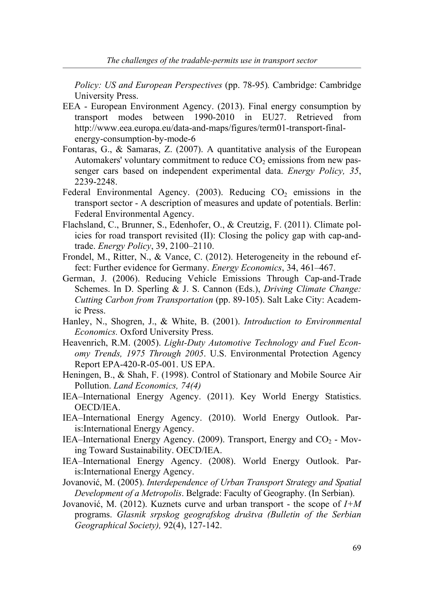*Policy: US and European Perspectives* (pp. 78-95)*.* Cambridge: Cambridge University Press.

- EEA European Environment Agency. (2013). Final energy consumption by transport modes between 1990-2010 in EU27. Retrieved from http://www.eea.europa.eu/data-and-maps/figures/term01-transport-finalenergy-consumption-by-mode-6
- Fontaras, G., & Samaras, Z. (2007). A quantitative analysis of the European Automakers' voluntary commitment to reduce  $CO<sub>2</sub>$  emissions from new passenger cars based on independent experimental data. *Energy Policy, 35*, 2239-2248.
- Federal Environmental Agency. (2003). Reducing  $CO<sub>2</sub>$  emissions in the transport sector - A description of measures and update of potentials. Berlin: Federal Environmental Agency.
- Flachsland, C., Brunner, S., Edenhofer, O., & Creutzig, F. (2011). Climate policies for road transport revisited (II): Closing the policy gap with cap-andtrade. *Energy Policy*, 39, 2100–2110.
- Frondel, M., Ritter, N., & Vance, C. (2012). Heterogeneity in the rebound effect: Further evidence for Germany. *Energy Economics*, 34, 461–467.
- German, J. (2006). Reducing Vehicle Emissions Through Cap-and-Trade Schemes. In D. Sperling & J. S. Cannon (Eds.), *Driving Climate Change: Cutting Carbon from Transportation* (pp. 89-105). Salt Lake City: Academic Press.
- Hanley, N., Shogren, J., & White, B. (2001). *Introduction to Environmental Economics.* Oxford University Press.
- Heavenrich, R.M. (2005). *Light-Duty Automotive Technology and Fuel Economy Trends, 1975 Through 2005*. U.S. Environmental Protection Agency Report EPA-420-R-05-001. US EPA.
- Heningen, B., & Shah, F. (1998). Control of Stationary and Mobile Source Air Pollution. *Land Economics, 74(4)*
- IEA–International Energy Agency. (2011). Key World Energy Statistics. OECD/IEA.
- IEA–International Energy Agency. (2010). World Energy Outlook. Paris:International Energy Agency.
- IEA–International Energy Agency. (2009). Transport, Energy and  $CO<sub>2</sub>$  Moving Toward Sustainability. OECD/IEA.
- IEA–International Energy Agency. (2008). World Energy Outlook. Paris:International Energy Agency.
- Jovanović, M. (2005). *Interdependence of Urban Transport Strategy and Spatial Development of a Metropolis*. Belgrade: Faculty of Geography. (In Serbian).
- Jovanović, M. (2012). Kuznets curve and urban transport the scope of *I+M*  programs. *Glasnik srpskog geografskog društva (Bulletin of the Serbian Geographical Society),* 92(4), 127-142.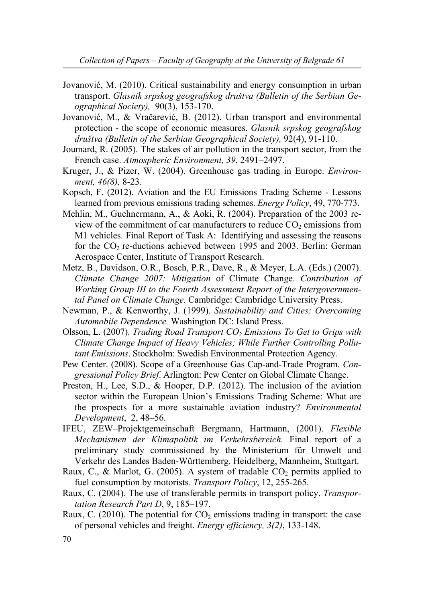- Jovanović, M. (2010). Critical sustainability and energy consumption in urban transport. *Glasnik srpskog geografskog društva (Bulletin of the Serbian Geographical Society),* 90(3), 153-170.
- Jovanović, M., & Vračarević, B. (2012). Urban transport and environmental protection - the scope of economic measures. *Glasnik srpskog geografskog društva (Bulletin of the Serbian Geographical Society),* 92(4), 91-110.
- Joumard, R. (2005). The stakes of air pollution in the transport sector, from the French case. *Atmospheric Environment, 39*, 2491–2497.
- Kruger, J., & Pizer, W. (2004). Greenhouse gas trading in Europe. *Environment, 46(8),* 8-23.
- Kopsch, F. (2012). Aviation and the EU Emissions Trading Scheme Lessons learned from previous emissions trading schemes. *Energy Policy*, 49, 770-773.
- Mehlin, M., Guehnermann, A., & Aoki, R. (2004). Preparation of the 2003 review of the commitment of car manufacturers to reduce  $CO<sub>2</sub>$  emissions from M1 vehicles. Final Report of Task A: Identifying and assessing the reasons for the  $CO<sub>2</sub>$  re-ductions achieved between 1995 and 2003. Berlin: German Aerospace Center, Institute of Transport Research.
- Metz, B., Davidson, O.R., Bosch, P.R., Dave, R., & Meyer, L.A. (Eds.) (2007). *Climate Change 2007: Mitigation* of Climate Change*. Contribution of Working Group III to the Fourth Assessment Report of the Intergovernmental Panel on Climate Change.* Cambridge: Cambridge University Press.
- Newman, P., & Kenworthy, J. (1999). *Sustainability and Cities: Overcoming Automobile Dependence.* Washington DC: Island Press.
- Olsson, L. (2007). *Trading Road Transport CO<sub>2</sub> Emissions To Get to Grips with Climate Change Impact of Heavy Vehicles; While Further Controlling Pollutant Emissions*. Stockholm: Swedish Environmental Protection Agency.
- Pew Center. (2008). Scope of a Greenhouse Gas Cap-and-Trade Program. *Congressional Policy Brief*. Arlington: Pew Center on Global Climate Change.
- Preston, H., Lee, S.D., & Hooper, D.P. (2012). The inclusion of the aviation sector within the European Union's Emissions Trading Scheme: What are the prospects for a more sustainable aviation industry? *Environmental Development*, 2, 48–56.
- IFEU, ZEW–Projektgemeinschaft Bergmann, Hartmann, (2001). *Flexible Mechanismen der Klimapolitik im Verkehrsbereich.* Final report of a preliminary study commissioned by the Ministerium für Umwelt und Verkehr des Landes Baden-Württemberg. Heidelberg, Mannheim, Stuttgart.
- Raux, C., & Marlot, G. (2005). A system of tradable  $CO<sub>2</sub>$  permits applied to fuel consumption by motorists. *Transport Policy*, 12, 255-265.
- Raux, C. (2004). The use of transferable permits in transport policy. *Transportation Research Part D*, 9, 185–197.
- Raux, C. (2010). The potential for  $CO<sub>2</sub>$  emissions trading in transport: the case of personal vehicles and freight. *Energy efficiency, 3(2)*, 133-148.

<sup>70</sup>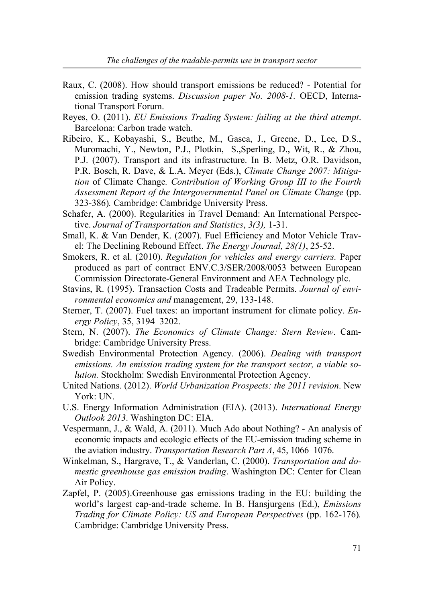- Raux, C. (2008). How should transport emissions be reduced? Potential for emission trading systems. *Discussion paper No. 2008-1.* OECD, International Transport Forum.
- Reyes, O. (2011). *EU Emissions Trading System: failing at the third attempt*. Barcelona: Carbon trade watch.
- Ribeiro, K., Kobayashi, S., Beuthe, M., Gasca, J., Greene, D., Lee, D.S., Muromachi, Y., Newton, P.J., Plotkin, S.,Sperling, D., Wit, R., & Zhou, P.J. (2007). Transport and its infrastructure. In B. Metz, O.R. Davidson, P.R. Bosch, R. Dave, & L.A. Meyer (Eds.), *Climate Change 2007: Mitigation* of Climate Change*. Contribution of Working Group III to the Fourth Assessment Report of the Intergovernmental Panel on Climate Change* (pp. 323-386)*.* Cambridge: Cambridge University Press.
- Schafer, A. (2000). Regularities in Travel Demand: An International Perspective. *Journal of Transportation and Statistics*, *3(3),* 1-31.
- Small, K. & Van Dender, K. (2007). Fuel Efficiency and Motor Vehicle Travel: The Declining Rebound Effect. *The Energy Journal, 28(1)*, 25-52.
- Smokers, R. et al. (2010). *Regulation for vehicles and energy carriers.* Paper produced as part of contract ENV.C.3/SER/2008/0053 between European Commission Directorate-General Environment and AEA Technology plc.
- Stavins, R. (1995). Transaction Costs and Tradeable Permits. *Journal of environmental economics and* management, 29, 133-148.
- Sterner, T. (2007). Fuel taxes: an important instrument for climate policy. *Energy Policy*, 35, 3194–3202.
- Stern, N. (2007). *The Economics of Climate Change: Stern Review*. Cambridge: Cambridge University Press.
- Swedish Environmental Protection Agency. (2006). *Dealing with transport emissions. An emission trading system for the transport sector, a viable solution.* Stockholm: Swedish Environmental Protection Agency.
- United Nations. (2012). *World Urbanization Prospects: the 2011 revision*. New York: UN.
- U.S. Energy Information Administration (EIA). (2013). *International Energy Outlook 2013*. Washington DC: EIA.
- Vespermann, J., & Wald, A. (2011). Much Ado about Nothing? An analysis of economic impacts and ecologic effects of the EU-emission trading scheme in the aviation industry. *Transportation Research Part A*, 45, 1066–1076.
- Winkelman, S., Hargrave, T., & Vanderlan, C. (2000). *Transportation and domestic greenhouse gas emission trading*. Washington DC: Center for Clean Air Policy.
- Zapfel, P. (2005).Greenhouse gas emissions trading in the EU: building the world's largest cap-and-trade scheme. In B. Hansjurgens (Ed.), *Emissions Trading for Climate Policy: US and European Perspectives* (pp. 162-176)*.*  Cambridge: Cambridge University Press.